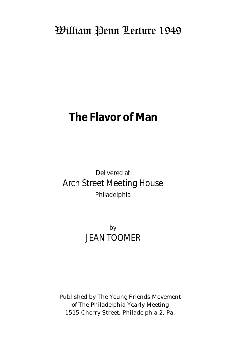## William Penn Lecture 1949

# **The Flavor of Man**

### Delivered at Arch Street Meeting House Philadelphia

### by JEAN TOOMER

Published by The Young Friends Movement of The Philadelphia Yearly Meeting 1515 Cherry Street, Philadelphia 2, Pa.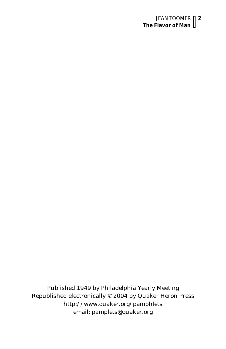#### JEAN TOOMER **2 The Flavor of Man**

Published 1949 by Philadelphia Yearly Meeting Republished electronically © 2004 by Quaker Heron Press http://www.quaker.org/pamphlets email: pamplets@quaker.org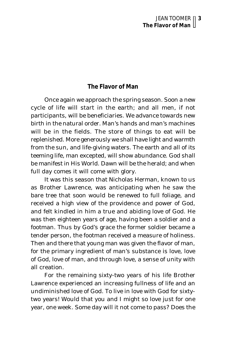#### **The Flavor of Man**

Once again we approach the spring season. Soon a new cycle of life will start in the earth; and all men, if not participants, will be beneficiaries. We advance towards new birth in the natural order. Man's hands and man's machines will be in the fields. The store of things to eat will be replenished. More generously we shall have light and warmth from the sun, and life-giving waters. The earth and all of its teeming life, man excepted, will show abundance. God shall be manifest in His World. Dawn will be the herald; and when full day comes it will come with glory.

It was this season that Nicholas Herman, known to us as Brother Lawrence, was anticipating when he saw the bare tree that soon would be renewed to full foliage, and received a high view of the providence and power of God, and felt kindled in him a true and abiding love of God. He was then eighteen years of age, having been a soldier and a footman. Thus by God's grace the former soldier became a tender person, the footman received a measure of holiness. Then and there that young man was given the flavor of man, for the primary ingredient of man's substance is love, love of God, love of man, and through love, a sense of unity with all creation.

For the remaining sixty-two years of his life Brother Lawrence experienced an increasing fullness of life and an undiminished love of God. To live in love with God for sixtytwo years! Would that you and I might so love just for one year, one week. Some day will it not come to pass? Does the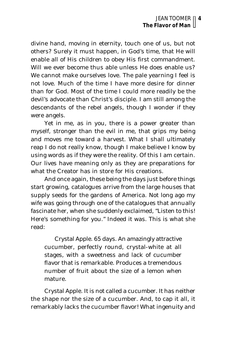divine hand, moving in eternity, touch one of us, but not others? Surely it must happen, in God's time, that He will enable all of His children to obey His first commandment. Will we ever become thus able unless He does enable us? We cannot make ourselves love. The pale yearning I feel is not love. Much of the time I have more desire for dinner than for God. Most of the time I could more readily be the devil's advocate than Christ's disciple. I am still among the descendants of the rebel angels, though I wonder if they were angels.

Yet in me, as in you, there is a power greater than myself, stronger than the evil in me, that grips my being and moves me toward a harvest. What I shall ultimately reap I do not really know, though I make believe I know by using words as if they were the reality. Of this I am certain. Our lives have meaning only as they are preparations for what the Creator has in store for His creations.

And once again, these being the days just before things start growing, catalogues arrive from the large houses that supply seeds for the gardens of America. Not long ago my wife was going through one of the catalogues that annually fascinate her, when she suddenly exclaimed, "Listen to this! Here's something for you." Indeed it was. This is what she read:

Crystal Apple. 65 days. An amazingly attractive cucumber, perfectly round, crystal-white at all stages, with a sweetness and lack of cucumber flavor that is remarkable. Produces a tremendous number of fruit about the size of a lemon when mature.

Crystal Apple. It is not called a cucumber. It has neither the shape nor the size of a cucumber. And, to cap it all, it remarkably lacks the cucumber flavor! What ingenuity and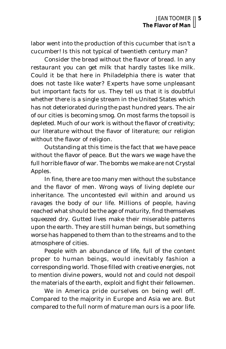labor went into the production of this cucumber that isn't a cucumber! Is this not typical of twentieth century man?

Consider the bread without the flavor of bread. In any restaurant you can get milk that hardly tastes like milk. Could it be that here in Philadelphia there is water that does not taste like water? Experts have some unpleasant but important facts for us. They tell us that it is doubtful whether there is a single stream in the United States which has not deteriorated during the past hundred years. The air of our cities is becoming smog. On most farms the topsoil is depleted. Much of our work is without the flavor of creativity; our literature without the flavor of literature; our religion without the flavor of religion.

Outstanding at this time is the fact that we have peace without the flavor of peace. But the wars we wage have the full horrible flavor of war. The bombs we make are not Crystal Apples.

In fine, there are too many men without the substance and the flavor of men. Wrong ways of living deplete our inheritance. The uncontested evil within and around us ravages the body of our life. Millions of people, having reached what should be the age of maturity, find themselves squeezed dry. Gutted lives make their miserable patterns upon the earth. They are still human beings, but something worse has happened to them than to the streams and to the atmosphere of cities.

People with an abundance of life, full of the content proper to human beings, would inevitably fashion a corresponding world. Those filled with creative energies, not to mention divine powers, would not and could not despoil the materials of the earth, exploit and fight their fellowmen.

We in America pride ourselves on being well off. Compared to the majority in Europe and Asia we are. But compared to the full norm of mature man ours is a poor life.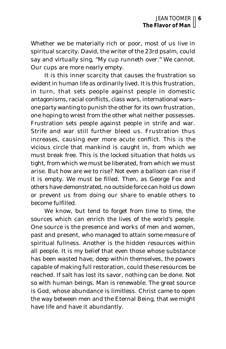Whether we be materially rich or poor, most of us live in spiritual scarcity. David, the writer of the 23rd psalm, could say and virtually sing, "My cup runneth over." We cannot. Our cups are more nearly empty.

It is this inner scarcity that causes the frustration so evident in human life as ordinarily lived. It is this frustration, in turn, that sets people against people in domestic antagonisms, racial conflicts, class wars, international wars– one party wanting to punish the other for its own frustration, one hoping to wrest from the other what neither possesses. Frustration sets people against people in strife and war. Strife and war still further bleed us. Frustration thus increases, causing ever more acute conflict. This is the vicious circle that mankind is caught in, from which we must break free. This is the locked situation that holds us tight, from which we must be liberated, from which we must arise. But how are we to rise? Not even a balloon can rise if it is empty. We must be filled. Then, as George Fox and others have demonstrated, no outside force can hold us down or prevent us from doing our share to enable others to become fulfilled.

We know, but tend to forget from time to time, the sources which can enrich the lives of the world's people. One source is the presence and works of men and women, past and present, who managed to attain some measure of spiritual fullness. Another is the hidden resources within all people. It is my belief that even those whose substance has been wasted have, deep within themselves, the powers capable of making full restoration, could these resources be reached. If salt has lost its savor, nothing can be done. Not so with human beings. Man is renewable. The great source is God, whose abundance is limitless. Christ came to open the way between men and the Eternal Being, that we might have life and have it abundantly.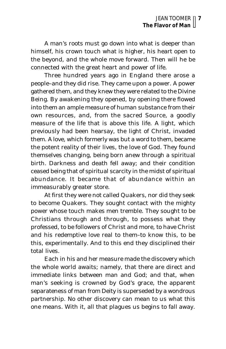A man's roots must go down into what is deeper than himself, his crown touch what is higher, his heart open to the beyond, and the whole move forward. Then will he be connected with the great heart and power of life.

Three hundred years ago in England there arose a people–and they did rise. They came upon a power. A power gathered them, and they knew they were related to the Divine Being. By awakening they opened, by opening there flowed into them an ample measure of human substance from their own resources, and, from the sacred Source, a goodly measure of the life that is above this life. A light, which previously had been hearsay, the light of Christ, invaded them. A love, which formerly was but a word to them, became the potent reality of their lives, the love of God. They found themselves changing, being born anew through a spiritual birth. Darkness and death fell away; and their condition ceased being that of spiritual scarcity in the midst of spiritual abundance. It became that of abundance within an immeasurably greater store.

At first they were not called Quakers, nor did they seek to become Quakers. They sought contact with the mighty power whose touch makes men tremble. They sought to be Christians through and through, to possess what they professed, to be followers of Christ and more, to have Christ and his redemptive love real to them–to know this, to *be* this, experimentally. And to this end they disciplined their total lives.

Each in his and her measure made the discovery which the whole world awaits; namely, that there are direct and immediate links between man and God; and that, when man's seeking is crowned by God's grace, the apparent separateness of man from Deity is superseded by a wondrous partnership. No other discovery can mean to us what this one means. With it, all that plagues us begins to fall away.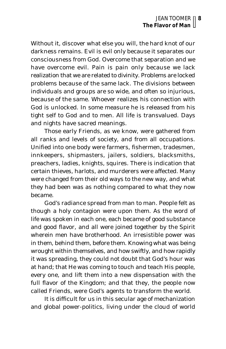Without it, discover what else you will, the hard knot of our darkness remains. Evil is evil only because it separates our consciousness from God. Overcome that separation and we have overcome evil. Pain is pain only because we lack realization that we are related to divinity. Problems are locked problems because of the same lack. The divisions between individuals and groups are so wide, and often so injurious, because of the same. Whoever realizes his connection with God is unlocked. In some measure he is released from his tight self to God and to men. All life is transvalued. Days and nights have sacred meanings.

Those early Friends, as we know, were gathered from all ranks and levels of society, and from all occupations. Unified into one body were farmers, fishermen, tradesmen, innkeepers, shipmasters, jailers, soldiers, blacksmiths, preachers, ladies, knights, squires. There is indication that certain thieves, harlots, and murderers were affected. Many were changed from their old ways to the new way, and what they had been was as nothing compared to what they now became.

God's radiance spread from man to man. People felt as though a holy contagion were upon them. As the word of life was spoken in each one, each became of good substance and good flavor, and all were joined together by the Spirit wherein men have brotherhood. An irresistible power was in them, behind them, before them. Knowing what was being wrought within themselves, and how swiftly, and how rapidly it was spreading, they could not doubt that God's hour was at hand; that He was coming to touch and teach His people, every one, and lift them into a new dispensation with the full flavor of the Kingdom; and that they, the people now called Friends, were God's agents to transform the world.

It is difficult for us in this secular age of mechanization and global power-politics, living under the cloud of world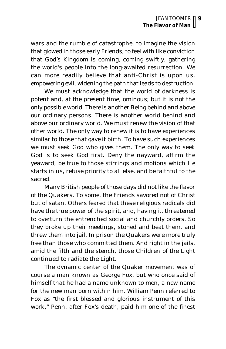wars and the rumble of catastrophe, to imagine the vision that glowed in those early Friends, to feel with like conviction that God's Kingdom is coming, coming swiftly, gathering the world's people into the long-awaited resurrection. We can more readily believe that anti-Christ is upon us, empowering evil, widening the path that leads to destruction.

We must acknowledge that the world of darkness is potent and, at the present time, ominous; but it is not the only possible world. There is another Being behind and above our ordinary persons. There is another world behind and above our ordinary world. We must renew the vision of that other world. The only way to renew it is to have experiences similar to those that gave it birth. To have such experiences we must seek God who gives them. The only way to seek God is to seek God first. Deny the nayward, affirm the yeaward, be true to those stirrings and motions which He starts in us, refuse priority to all else, and be faithful to the sacred.

Many British people of those days did not like the flavor of the Quakers. To some, the Friends savored not of Christ but of satan. Others feared that these religious radicals did have the true power of the spirit, and, having it, threatened to overturn the entrenched social and churchly orders. So they broke up their meetings, stoned and beat them, and threw them into jail. In prison the Quakers were more truly free than those who committed them. And right in the jails, amid the filth and the stench, those Children of the Light continued to radiate the Light.

The dynamic center of the Quaker movement was of course a man known as George Fox, but who once said of himself that he had a name unknown to men, a new name for the new man born within him. William Penn referred to Fox as "the first blessed and glorious instrument of this work," Penn, after Fox's death, paid him one of the finest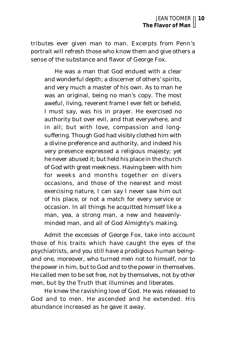tributes ever given man to man. Excerpts from Penn's portrait will refresh those who know them and give others a sense of the substance and flavor of George Fox.

He was a man that God endued with a clear and wonderful depth; a discerner of others' spirits, and very much a master of his own. As to man he was an original, being no man's copy. The most aweful, living, reverent frame I ever felt or beheld, I must say, was his in prayer. He exercised no authority but over evil, and that everywhere, and in all; but with love, compassion and longsuffering. Though God had visibly clothed him with a divine preference and authority, and indeed his very presence expressed a religious majesty; yet he never abused it; but held his place in the church of God with great meekness. Having been with him for weeks and months together on divers occasions, and those of the nearest and most exercising nature, I can say I never saw him out of his place, or not a match for every service or occasion. In all things he acquitted himself like a man, yea, a strong man, a new and heavenlyminded man, and all of God Almighty's making.

Admit the excesses of George Fox, take into account those of his traits which have caught the eyes of the psychiatrists, and you still have a prodigious human being– and one, moreover, who turned men not to himself, nor to the power in him, but to God and to the power in themselves. He called men to be set free, not by themselves, not by other men, but by the Truth that illumines and liberates.

He knew the ravishing love of God. He was released to God and to men. He ascended and he extended. His abundance increased as he gave it away.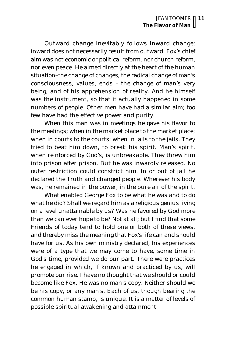Outward change inevitably follows inward change; inward does not necessarily result from outward. Fox's chief aim was not economic or political reform, nor church reform, nor even peace. He aimed directly at the heart of the human situation–the change of changes, the radical change of man's consciousness, values, ends – the change of man's very being, and of his apprehension of reality. And he himself was the instrument, so that it actually happened in some numbers of people. Other men have had a similar aim; too few have had the effective power and purity.

When this man was in meetings he gave his flavor to the meetings; when in the market place to the market place; when in courts to the courts; when in jails to the jails. They tried to beat him down, to break his spirit. Man's spirit, when reinforced by God's, is unbreakable. They threw him into prison after prison. But he was inwardly released. No outer restriction could constrict him. In or out of jail he declared the Truth and changed people. Wherever his body was, he remained in the power, in the pure air of the spirit.

What enabled George Fox to be what he was and to do what he did? Shall we regard him as a religious genius living on a level unattainable by us? Was he favored by God more than we can ever hope to be? Not at all; but I find that some Friends of today tend to hold one or both of these views, and thereby miss the meaning that Fox's life can and should have for us. As his own ministry declared, his experiences were of a type that we may come to have, some time in God's time, provided we do our part. There were practices he engaged in which, if known and practiced by us, will promote our rise. I have no thought that we should or could become like Fox. He was no man's copy. Neither should we be his copy, or any man's. Each of us, though bearing the common human stamp, is unique. It is a matter of levels of possible spiritual awakening and attainment.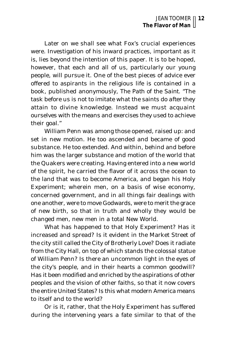Later on we shall see what Fox's crucial experiences were. Investigation of his inward practices, important as it is, lies beyond the intention of this paper. It is to be hoped, however, that each and all of us, particularly our young people, will pursue it. One of the best pieces of advice ever offered to aspirants in the religious life is contained in a book, published anonymously, *The Path of the Saint.* "The task before us is not to imitate what the saints do *after* they attain to divine knowledge. Instead we must acquaint ourselves with the means and exercises they used to achieve their goal."

William Penn was among those opened, raised up: and set in new motion. He too ascended and became of good substance. He too extended. And within, behind and before him was the larger substance and motion of the world that the Quakers were creating. Having entered into a new world of the spirit, he carried the flavor of it across the ocean to the land that was to become America, and began his Holy Experiment; wherein men, on a basis of wise economy, concerned government, and in all things fair dealings with one another, were to move Godwards, were to merit the grace of new birth, so that in truth and wholly they would be changed men, new men in a total New World.

What has happened to that Holy Experiment? Has it increased and spread? Is it evident in the Market Street of the city still called the City of Brotherly Love? Does it radiate from the City Hall, on top of which stands the colossal statue of William Penn? Is there an uncommon light in the eyes of the city's people, and in their hearts a common goodwill? Has it been modified and enriched by the aspirations of other peoples and the vision of other faiths, so that it now covers the entire United States? Is this what modern America means to itself and to the world?

Or is it, rather, that the Holy Experiment has suffered during the intervening years a fate similar to that of the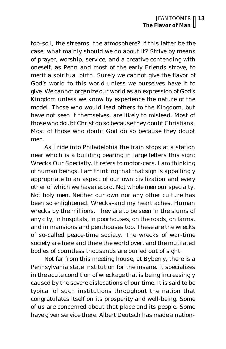top-soil, the streams, the atmosphere? If this latter be the case, what mainly should we do about it? Strive by means of prayer, worship, service, and a creative contending with oneself, as Penn and most of the early Friends strove, to merit a spiritual birth. Surely we cannot give the flavor of God's world to this world unless we ourselves have it to give. We cannot organize our world as an expression of God's Kingdom unless we know by experience the nature of the model. Those who would lead others to the Kingdom, but have not seen it themselves, are likely to mislead. Most of those who doubt Christ do so because they doubt Christians. Most of those who doubt God do so because they doubt men.

As I ride into Philadelphia the train stops at a station near which is a building bearing in large letters this sign: Wrecks Our Specialty. It refers to motor-cars. I am thinking of human beings. I am thinking that that sign is appallingly appropriate to an aspect of our own civilization and every other of which we have record. Not *whole men* our specialty. Not *holy men.* Neither our own nor any other culture has been so enlightened. Wrecks–and my heart aches. Human wrecks by the millions. They are to be seen in the slums of any city, in hospitals, in poorhouses, on the roads, on farms, and in mansions and penthouses too. These are the wrecks of so-called peace-time society. The wrecks of war-time society are here and there the world over, and the mutilated bodies of countless thousands are buried out of sight.

Not far from this meeting house, at Byberry, there is a Pennsylvania state institution for the insane. It specializes in the acute condition of wreckage that is being increasingly caused by the severe dislocations of our time. It is said to be typical of such institutions throughout the nation that congratulates itself on its prosperity and well-being. Some of us are concerned about that place and its people. Some have given service there. Albert Deutsch has made a nation-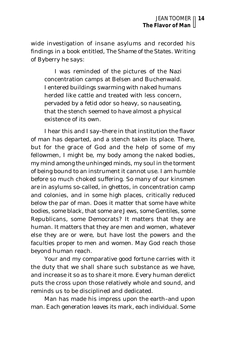wide investigation of insane asylums and recorded his findings in a book entitled, *The Shame of the States.* Writing of Byberry he says:

I was reminded of the pictures of the Nazi concentration camps at Belsen and Buchenwald. I entered buildings swarming with naked humans herded like cattle and treated with less concern, pervaded by a fetid odor so heavy, so nauseating, that the stench seemed to have almost a physical existence of its own.

I hear this and I say–there in that institution the flavor of man has departed, and a stench taken its place. There, but for the grace of God and the help of some of my fellowmen, I might be, my body among the naked bodies, my mind among the unhinged minds, my soul in the torment of being bound to an instrument it cannot use. I am humble before so much choked suffering. So many of our kinsmen are in asylums so-called, in ghettos, in concentration camp and colonies, and in some high places, critically reduced below the par of man. Does it matter that some have white bodies, some black, that some are Jews, some Gentiles, some Republicans, some Democrats? It matters that they are human. It matters that they are men and women, whatever else they are or were, but have lost the powers and the faculties proper to men and women. May God reach those beyond human reach.

Your and my comparative good fortune carries with it the duty that we shall share such substance as we have, and increase it so as to share it more. Every human derelict puts the cross upon those relatively whole and sound, and reminds us to be disciplined and dedicated.

Man has made his impress upon the earth–and upon man. Each generation leaves its mark, each individual. Some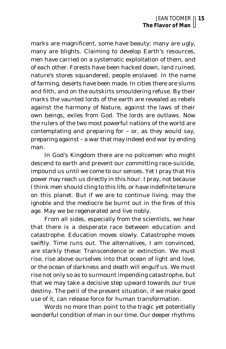marks are magnificent, some have beauty; many are ugly, many are blights. Claiming to develop Earth's resources, men have carried on a systematic exploitation of them, and of each other. Forests have been hacked down, land ruined, nature's stores squandered, people enslaved. In the name of farming, deserts have been made. In cities there are slums and filth, and on the outskirts smouldering refuse. By their marks the vaunted lords of the earth are revealed as rebels against the harmony of Nature, against the laws of their own beings, exiles from God. The lords are outlaws. Now the rulers of the two most powerful nations of the world are contemplating and preparing for – or, as they would say, preparing against – a war that may indeed end war by ending man.

In God's Kingdom there are no policemen who might descend to earth and prevent our committing race-suicide, impound us until we come to our senses. Yet I pray that His power may reach us directly in this hour. I pray, not because I think men should cling to this life, or have indefinite tenure on this planet. But if we are to continue living, may the ignoble and the mediocre be burnt out in the fires of this age. May we be regenerated and live nobly.

From all sides, especially from the scientists, we hear that there is a desperate race between education and catastrophe. Education moves slowly. Catastrophe moves swiftly. Time runs out. The alternatives, I am convinced, are starkly these: Transcendence or extinction. We must rise, rise above ourselves into that ocean of light and love, or the ocean of darkness and death will engulf us. We must rise not only so as to surmount impending catastrophe, but that we may take a decisive step upward towards our true destiny. The peril of the present situation, if we make good use of it, can release force for human transformation.

Words no more than point to the tragic yet potentially wonderful condition of man in our time. Our deeper rhythms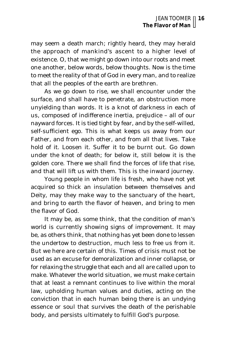may seem a death march; rightly heard, they may herald the approach of mankind's ascent to a higher level of existence. O, that we might go down into our roots and meet one another, below words, below thoughts. Now is the time to meet the reality of that of God in every man, and to realize that all the peoples of the earth are brethren.

As we go down to rise, we shall encounter under the surface, and shall have to penetrate, an obstruction more unyielding than words. It is a knot of darkness in each of us, composed of indifference inertia, prejudice – all of our nayward forces. It is tied tight by fear, and by the self-willed, self-sufficient ego. This is what keeps us away from our Father, and from each other, and from all that lives. Take hold of it. Loosen it. Suffer it to be burnt out. Go down under the knot of death; for below it, still below it is the golden core. There we shall find the forces of life that rise, and that will lift us with them. This is the inward journey.

Young people in whom life is fresh, who have not yet acquired so thick an insulation between themselves and Deity, may they make way to the sanctuary of the heart, and bring to earth the flavor of heaven, and bring to men the flavor of God.

It may be, as some think, that the condition of man's world is currently showing signs of improvement. It may be, as others think, that nothing has yet been done to lessen the undertow to destruction, much less to free us from it. But we here are certain of this. Times of crisis must not be used as an excuse for demoralization and inner collapse, or for relaxing the struggle that each and all are called upon to make. Whatever the world situation, we must make certain that at least a remnant continues to live within the moral law, upholding human values and duties, acting on the conviction that in each human being there is an undying essence or soul that survives the death of the perishable body, and persists ultimately to fulfill God's purpose.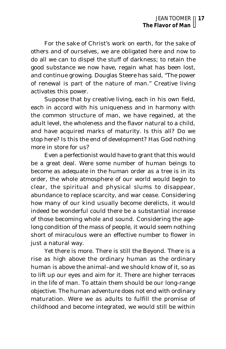For the sake of Christ's work on earth, for the sake of others and of ourselves, we are obligated here and now to do all we can to dispel the stuff of darkness; to retain the good substance we now have, regain what has been lost, and continue growing. Douglas Steere has said, "The power of renewal is part of the nature of man." Creative living activates this power.

Suppose that by creative living, each in his own field, each in accord with his uniqueness and in harmony with the common structure of man, we have regained, at the adult level, the wholeness and the flavor natural to a child, and have acquired marks of maturity. Is this all? Do we stop here? Is this the end of development? Has God nothing more in store for us?

Even a perfectionist would have to grant that this would be a great deal. Were some number of human beings to become as adequate in the human order as a tree is in its order, the whole atmosphere of our world would begin to clear, the spiritual and physical slums to disappear, abundance to replace scarcity, and war cease. Considering how many of our kind usually become derelicts, it would indeed be wonderful could there be a substantial increase of those becoming whole and sound. Considering the agelong condition of the mass of people, it would seem nothing short of miraculous were an effective number to flower in just a natural way.

Yet there is more. There is still the Beyond. There is a rise as high above the ordinary human as the ordinary human is above the animal–and we should know of it, so as to lift up our eyes and aim for it. There are higher terraces in the life of man. To attain them should be our long-range objective. The human adventure does not end with ordinary maturation. Were we as adults to fulfill the promise of childhood and become integrated, we would still be within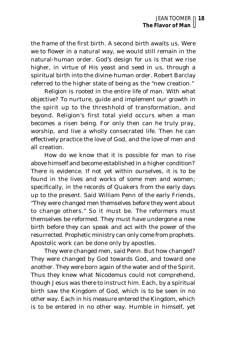the frame of the first birth. A second birth awaits us. Were we to flower in a natural way, we would still remain in the natural-human order. God's design for us is that we rise higher, in virtue of His yeast and seed in us, through a spiritual birth into the divine-human order. Robert Barclay referred to the higher state of being as the "new creation."

Religion is rooted in the entire life of man. With what objective? To nurture, guide and implement our growth in the spirit up to the threshhold of transformation, and beyond. Religion's first total yield occurs when a man becomes a risen being. For only then can he truly pray, worship, and live a wholly consecrated life. Then he can effectively practice the love of God, and the love of men and all creation.

How do we know that it is possible for man to rise above himself and become established in a higher condition? There is evidence. If not yet within ourselves, it is to be found in the lives and works of some men and women; specifically, in the records of Quakers from the early days up to the present. Said William Penn of the early Friends, "They were changed men themselves before they went about to change others." So it must be. The reformers must themselves be reformed. They must have undergone a new birth before they can speak and act with the power of the resurrected. Prophetic ministry can only come from prophets. Apostolic work can be done only by apostles.

They were changed men, said Penn. But how changed? They were changed by God towards God, and toward one another. They were born again of the water and of the Spirit. Thus they knew what Nicodemus could not comprehend, though Jesus was there to instruct him. Each, by a spiritual birth saw the Kingdom of God, which is to be seen in no other way. Each in his measure entered the Kingdom, which is to be entered in no other way. Humble in himself, yet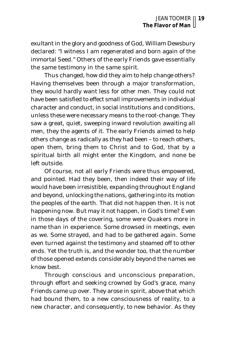exultant in the glory and goodness of God, William Dewsbury declared: "I witness I am regenerated and born again of the immortal Seed." Others of the early Friends gave essentially the same testimony in the same spirit.

Thus changed, how did they aim to help change others? Having themselves been through a major transformation, they would hardly want less for other men. They could not have been satisfied to effect small improvements in individual character and conduct, in social institutions and conditions, unless these were necessary means to the root-change. They saw a great, quiet, sweeping inward revolution awaiting all men, they the agents of it. The early Friends aimed to help others change as radically as they had been – to reach others, open them, bring them to Christ and to God, that by a spiritual birth all might enter the Kingdom, and none be left outside.

Of course, not all early Friends were thus empowered, and pointed. Had they been, then indeed their way of life would have been irresistible, expanding throughout England and beyond, unlocking the nations, gathering into its motion the peoples of the earth. That did not happen then. It is not happening now. But may it not happen, in God's time? Even in those days of the covering, some were Quakers more in name than in experience. Some drowsed in meetings, even as we. Some strayed, and had to be gathered again. Some even turned against the testimony and steamed off to other ends. Yet the truth is, and the wonder too, that the number of those opened extends considerably beyond the names we know best.

Through conscious and unconscious preparation, through effort and seeking crowned by God's grace, many Friends came up over. They arose in spirit, above that which had bound them, to a new consciousness of reality, to a new character, and consequently, to new behavior. As they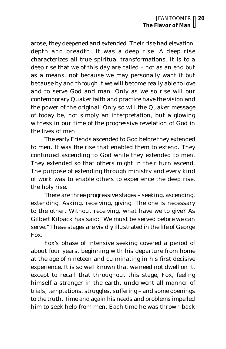arose, they deepened and extended. Their rise had elevation, depth and breadth. It was a deep rise. A deep rise characterizes all true spiritual transformations. It is to a deep rise that we of this day are called – not as an end but as a means, not because we may personally want it but because by and through it we will become really able to love and to serve God and man. Only as we so rise will our contemporary Quaker faith and practice have the vision and the power of the original. Only so will the Quaker message of today be, not simply an interpretation, but a glowing witness in our time of the progressive revelation of God in the lives of men.

The early Friends ascended to God before they extended to men. It was the rise that enabled them to extend. They continued ascending to God while they extended to men. They extended so that others might in their turn ascend. The purpose of extending through ministry and every kind of work was to enable others to experience the deep rise, the holy rise.

There are three progressive stages – seeking, ascending, extending. Asking, receiving, giving. The one is necessary to the other. Without receiving, what have we to give? As Gilbert Kilpack has said: "We must be served before we can serve." These stages are vividly illustrated in the life of George Fox.

Fox's phase of intensive seeking covered a period of about four years, beginning with his departure from home at the age of nineteen and culminating in his first decisive experience. It is so well known that we need not dwell on it, except to recall that throughout this stage, Fox, feeling himself a stranger in the earth, underwent all manner of trials, temptations, struggles, suffering – and some openings to the truth. Time and again his needs and problems impelled him to seek help from men. Each time he was thrown back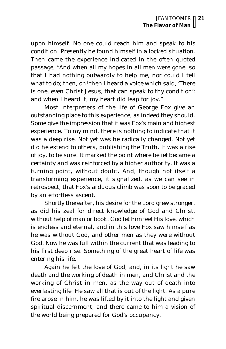upon himself. No one could reach him and speak to his condition. Presently he found himself in a locked situation. Then came the experience indicated in the often quoted passage, "And when all my hopes in all men were gone, so that I had nothing outwardly to help me, nor could I tell what to do; then, oh! then I heard a voice which said, 'There is one, even Christ Jesus, that can speak to thy condition': and when I heard it, my heart did leap for joy."

Most interpreters of the life of George Fox give an outstanding place to this experience, as indeed they should. Some give the impression that it was Fox's main and highest experience. To my mind, there is nothing to indicate that it was a deep rise. Not yet was he radically changed. Not yet did he extend to others, publishing the Truth. It was a rise of joy, to be sure. It marked the point where belief became a certainty and was reinforced by a higher authority. It was a turning point, without doubt. And, though not itself a transforming experience, it signalized, as we can see in retrospect, that Fox's arduous climb was soon to be graced by an effortless ascent.

Shortly thereafter, his desire for the Lord grew stronger, as did his zeal for direct knowledge of God and Christ, without help of man or book. God let him feel His love, which is endless and eternal, and in this love Fox saw himself as he was without God, and other men as they were without God. Now he was full within the current that was leading to his first deep rise. Something of the great heart of life was entering his life.

Again he felt the love of God, and, in its light he saw death and the working of death in men, and Christ and the working of Christ in men, as the way out of death into everlasting life. He saw all that is out of the light. As a pure fire arose in him, he was lifted by it into the light and given spiritual discernment; and there came to him a vision of the world being prepared for God's occupancy.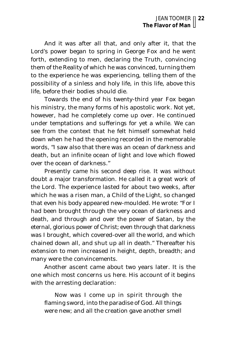And it was after all that, and only after it, that the Lord's power began to spring in George Fox and he went forth, extending to men, declaring the Truth, convincing them of the Reality of which he was convinced, turning them to the experience he was experiencing, telling them of the possibility of a sinless and holy life, in this life, above this life, before their bodies should die.

Towards the end of his twenty-third year Fox began his ministry, the many forms of his apostolic work. Not yet, however, had he completely come up over. He continued under temptations and sufferings for yet a while. We can see from the context that he felt himself somewhat held down when he had the opening recorded in the memorable words, "I saw also that there was an ocean of darkness and death, but an infinite ocean of light and love which flowed over the ocean of darkness."

Presently came his second deep rise. It was without doubt a major transformation. He called it a great work of the Lord. The experience lasted for about two weeks, after which he was a risen man, a Child of the Light, so changed that even his body appeared new-moulded. He wrote: "For I had been brought through the very ocean of darkness and death, and through and over the power of Satan, by the eternal, glorious power of Christ; even through that darkness was I brought, which covered-over all the world, and which chained down all, and shut up all in death." Thereafter his extension to men increased in height, depth, breadth; and many were the convincements.

Another ascent came about two years later. It is the one which most concerns us here. His account of it begins with the arresting declaration:

Now was I come up in spirit through the flaming sword, into the paradise of God. All things were new; and all the creation gave another smell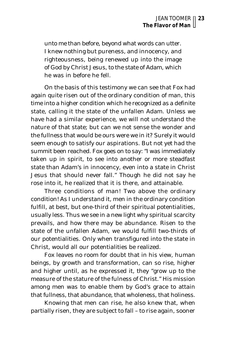unto me than before, beyond what words can utter. I knew nothing but pureness, and innocency, and righteousness, being renewed up into the image of God by Christ Jesus, to the state of Adam, which he was in before he fell.

On the basis of this testimony we can see that Fox had again quite risen out of the ordinary condition of man, this time into a higher condition which he recognized as a definite state, calling it the state of the unfallen Adam. Unless we have had a similar experience, we will not understand the nature of that state; but can we not sense the wonder and the fullness that would be ours were we in it? Surely it would seem enough to satisfy our aspirations. But not yet had the summit been reached. Fox goes on to say: "I was immediately taken up in spirit, to see into another or more steadfast state than Adam's in innocency, even into a state in Christ Jesus that should never fall." Though he did not say he rose into it, he realized that it is there, and attainable.

Three conditions of man! Two above the ordinary condition! As I understand it, men in the ordinary condition fulfill, at best, but one-third of their spiritual potentialities, usually less. Thus we see in a new light why spiritual scarcity prevails, and how there may be abundance. Risen to the state of the unfallen Adam, we would fulfill two-thirds of our potentialities. Only when transfigured into the state in Christ, would all our potentialities be realized.

Fox leaves no room for doubt that in his view, human beings, by growth and transformation, can so rise, higher and higher until, as he expressed it, they "grow up to the measure of the stature of the fulness of Christ." His mission among men was to enable them by God's grace to attain that fullness, that abundance, that wholeness, that holiness.

Knowing that men can rise, he also knew that, when partially risen, they are subject to fall – to rise again, sooner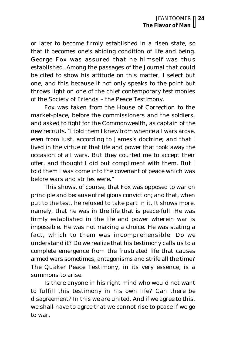or later to become firmly established in a risen state, so that it becomes one's abiding condition of life and being. George Fox was assured that he himself was thus established. Among the passages of the *Journal* that could be cited to show his attitude on this matter, I select but one, and this because it not only speaks to the point but throws light on one of the chief contemporary testimonies of the Society of Friends – the Peace Testimony.

Fox was taken from the House of Correction to the market-place, before the commissioners and the soldiers, and asked to fight for the Commonwealth, as captain of the new recruits. "I told them I knew from whence all wars arose, even from lust, according to James's doctrine; and that I lived in the virtue of that life and power that took away the occasion of all wars. But they courted me to accept their offer, and thought I did but compliment with them. But I told them I was come into the covenant of peace which was before wars and strifes were."

This shows, of course, that Fox was opposed to war on principle and because of religious conviction; and that, when put to the test, he refused to take part in it. It shows more, namely, that he was in the life that *is* peace-full. He was firmly established in the life and power wherein war is *impossible.* He was not making a choice. He was stating a fact, which to them was incomprehensible. Do we understand it? Do we realize that his testimony calls us to a complete emergence from the frustrated life that causes armed wars sometimes, antagonisms and strife all the time? The Quaker Peace Testimony, in its very essence, is a summons to arise.

Is there anyone in his right mind who would not want to fulfill this testimony in his own life? Can there be disagreement? In this we are united. And if we agree to this, we shall have to agree that we cannot rise to peace if we go to war.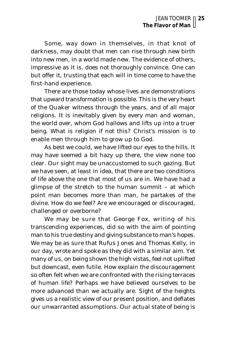Some, way down in themselves, in that knot of darkness, may doubt that men can rise through new birth into new men, in a world made new. The evidence of others, impressive as it is, does not thoroughly convince. One can but offer it, trusting that each will in time come to have the first-hand experience.

There are those today whose lives are demonstrations that upward transformation is possible. This is the very heart of the Quaker witness through the years, and of all major religions. It is inevitably given by every man and woman, the world over, whom God hallows and lifts up into a truer being. What is religion if not this? Christ's mission is to enable men through him to grow up to God.

As best we could, we have lifted our eyes to the hills. It may have seemed a bit hazy up there, the view none too clear. Our sight may be unaccustomed to such gazing. But we have seen, at least in idea, that there are two conditions of life above the one that most of us are in. We have had a glimpse of the stretch to the human summit – at which point man becomes more than man, he partakes of the divine. How do we feel? Are we encouraged or discouraged, challenged or overborne?

We may be sure that George Fox, writing of his transcending experiences, did so with the aim of pointing man to his true destiny and giving substance to man's hopes. We may be as sure that Rufus Jones and Thomas Kelly, in our day, wrote and spoke as they did with a similar aim. Yet many of us, on being shown the high vistas, feel not uplifted but downcast, even futile. How explain the discouragement so often felt when we are confronted with the rising terraces of human life? Perhaps we have believed ourselves to be more advanced than we actually are. Sight of the heights gives us a realistic view of our present position, and deflates our unwarranted assumptions. Our actual state of being is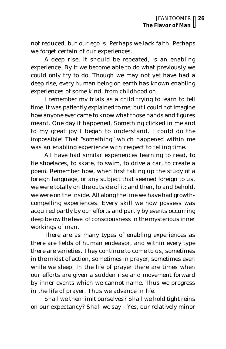not reduced, but our ego is. Perhaps we lack faith. Perhaps we forget certain of our experiences.

A deep rise, it should be repeated, is an enabling experience. By it we become able to do what previously we could only try to do. Though we may not yet have had a deep rise, every human being on earth has known enabling experiences of some kind, from childhood on.

I remember my trials as a child trying to learn to tell time. It was patiently explained to me; but I could not imagine how anyone ever came to know what those hands and figures meant. One day it happened. Something clicked in me and to my great joy I began to understand. I could do the impossible! That "something" which happened within me was an enabling experience with respect to telling time.

All have had similar experiences learning to read, to tie shoelaces, to skate, to swim, to drive a car, to create a poem. Remember how, when first taking up the study of a foreign language, or any subject that seemed foreign to us, we were totally on the outside of it; and then, lo and behold, we were on the inside. All along the line we have had growthcompelling experiences. Every skill we now possess was acquired partly by our efforts and partly by events occurring deep below the level of consciousness in the mysterious inner workings of man.

There are as many types of enabling experiences as there are fields of human endeavor, and within every type there are varieties. They continue to come to us, sometimes in the midst of action, sometimes in prayer, sometimes even while we sleep. In the life of prayer there are times when our efforts are given a sudden rise and movement forward by inner events which we cannot name. Thus we progress in the life of prayer. Thus we advance in life.

Shall we then limit ourselves? Shall we hold tight reins on our expectancy? Shall we say – Yes, our relatively minor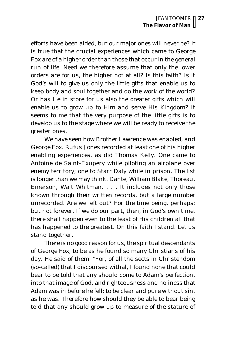efforts have been aided, but our major ones will never be? It is true that the crucial experiences which came to George Fox are of a higher order than those that occur in the general run of life. Need we therefore assume that only the lower orders are for us, the higher not at all? Is this faith? Is it God's will to give us only the little gifts that enable us to keep body and soul together and do the work of the world? Or has He in store for us also the greater gifts which will enable us to grow up to Him and serve His Kingdom? It seems to me that the very purpose of the little gifts is to develop us to the stage where we will be ready to receive the greater ones.

We have seen how Brother Lawrence was enabled, and George Fox. Rufus Jones recorded at least one of his higher enabling experiences, as did Thomas Kelly. One came to Antoine de Saint-Exupery while piloting an airplane over enemy territory; one to Starr Daly while in prison. The list is longer than we may think. Dante, William Blake, Thoreau, Emerson, Walt Whitman. . . . It includes not only those known through their written records, but a large number unrecorded. Are we left out? For the time being, perhaps; but not forever. If we do our part, then, in God's own time, there shall happen even to the least of His children all that has happened to the greatest. On this faith I stand. Let us stand together.

There is no good reason for us, the spiritual descendants of George Fox, to be as he found so many Christians of his day. He said of them: "For, of all the sects in Christendom (so-called) that I discoursed withal, I found none that could bear to be told that any should come to Adam's perfection, into that image of God, and righteousness and holiness that Adam was in before he fell; to be clear and pure without sin, as he was. Therefore how should they be able to bear being told that any should grow up to measure of the stature of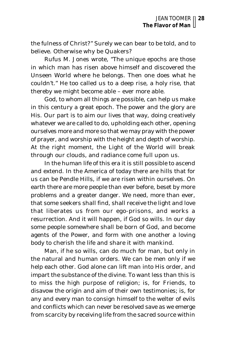the fulness of Christ?" Surely we can bear to be told, and to believe. Otherwise why be Quakers?

Rufus M. Jones wrote, "The unique epochs are those in which man has risen above himself and discovered the Unseen World where he belongs. Then one does what he couldn't." He too called us to a deep rise, a holy rise, that thereby we might become able – ever more able.

God, to whom all things are possible, can help us make in this century a great epoch. The power and the glory are His. Our part is to aim our lives that way, doing creatively whatever we are called to do, upholding each other, opening ourselves more and more so that we may pray with the power of prayer, and worship with the height and depth of worship. At the right moment, the Light of the World will break through our clouds, and radiance come full upon us.

In the human life of this era it is still possible to ascend and extend. In the America of today there are hills that for us can be Pendle Hills, if we are risen within ourselves. On earth there are more people than ever before, beset by more problems and a greater danger. We need, more than ever, that some seekers shall find, shall receive the light and love that liberates us from our ego-prisons, and works a resurrection. And it will happen, if God so wills. In our day some people somewhere shall be born of God, and become agents of the Power, and form with one another a loving body to cherish the life and share it with mankind.

Man, if he so wills, can do much for man, but only in the natural and human orders. We can be men only if we help each other. God alone can lift man into His order, and impart the substance of the divine. To want less than this is to miss the high purpose of religion; is, for Friends, to disavow the origin and aim of their own testimonies; is, for any and every man to consign himself to the welter of evils and conflicts which can never be resolved save as we emerge from scarcity by receiving life from the sacred source within